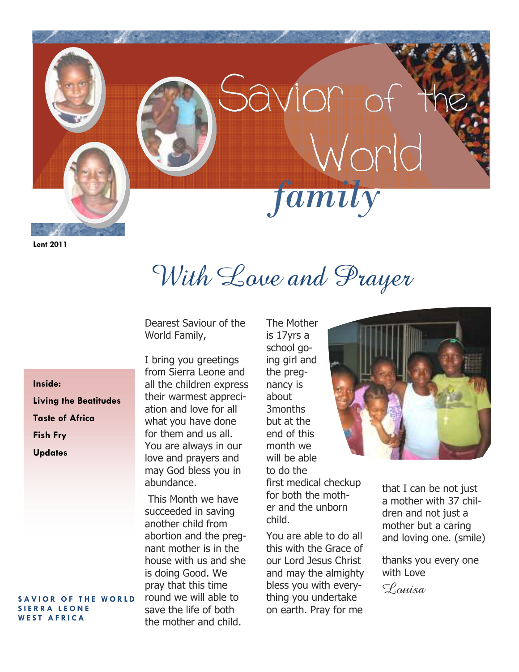

```
Lent 2011
```
With Love and Prayer

Dearest Saviour of the World Family,

**Inside: Living the Beatitudes Taste of Africa Fish Fry Updates** 

### **SAVIOR OF THE WORLD S I E R R A L E O N E**  WEST AFRICA

I bring you greetings from Sierra Leone and all the children express their warmest appreciation and love for all what you have done for them and us all. You are always in our love and prayers and may God bless you in abundance.

 This Month we have succeeded in saving another child from abortion and the pregnant mother is in the house with us and she is doing Good. We pray that this time round we will able to save the life of both the mother and child.

The Mother is 17yrs a school going girl and the pregnancy is about 3months but at the end of this month we will be able to do the first medical checkup for both the mother and the unborn child.

You are able to do all this with the Grace of our Lord Jesus Christ and may the almighty bless you with everything you undertake on earth. Pray for me



that I can be not just a mother with 37 children and not just a mother but a caring and loving one. (smile)

thanks you every one with Love

 $\mathscr{L}$ *quisa*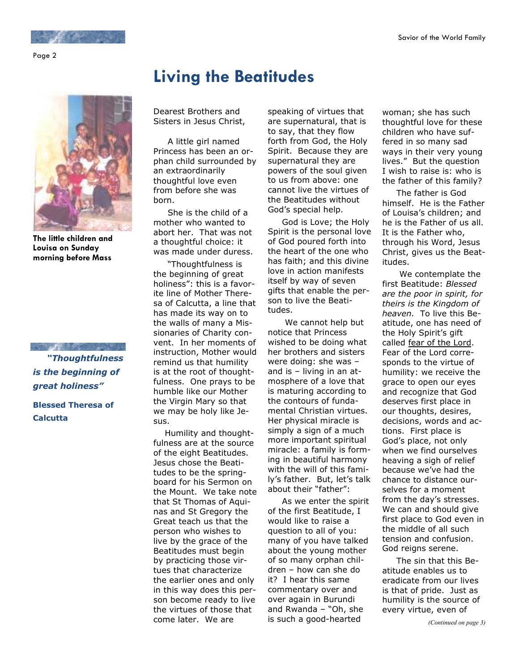Page 2



**The little children and Louisa on Sunday morning before Mass** 

and the company of the company of the company of  *"Thoughtfulness is the beginning of great holiness"* 

**Blessed Theresa of Calcutta** 

# **Living the Beatitudes**

Dearest Brothers and Sisters in Jesus Christ,

 A little girl named Princess has been an orphan child surrounded by an extraordinarily thoughtful love even from before she was born.

 She is the child of a mother who wanted to abort her. That was not a thoughtful choice: it was made under duress.

 "Thoughtfulness is the beginning of great holiness": this is a favorite line of Mother Theresa of Calcutta, a line that has made its way on to the walls of many a Missionaries of Charity convent. In her moments of instruction, Mother would remind us that humility is at the root of thoughtfulness. One prays to be humble like our Mother the Virgin Mary so that we may be holy like Jesus.

 Humility and thoughtfulness are at the source of the eight Beatitudes. Jesus chose the Beatitudes to be the springboard for his Sermon on the Mount. We take note that St Thomas of Aquinas and St Gregory the Great teach us that the person who wishes to live by the grace of the Beatitudes must begin by practicing those virtues that characterize the earlier ones and only in this way does this person become ready to live the virtues of those that come later. We are

speaking of virtues that are supernatural, that is to say, that they flow forth from God, the Holy Spirit. Because they are supernatural they are powers of the soul given to us from above: one cannot live the virtues of the Beatitudes without God's special help.

 God is Love; the Holy Spirit is the personal love of God poured forth into the heart of the one who has faith; and this divine love in action manifests itself by way of seven gifts that enable the person to live the Beatitudes.

 We cannot help but notice that Princess wished to be doing what her brothers and sisters were doing: she was – and is – living in an atmosphere of a love that is maturing according to the contours of fundamental Christian virtues. Her physical miracle is simply a sign of a much more important spiritual miracle: a family is forming in beautiful harmony with the will of this family's father. But, let's talk about their "father":

 As we enter the spirit of the first Beatitude, I would like to raise a question to all of you: many of you have talked about the young mother of so many orphan children – how can she do it? I hear this same commentary over and over again in Burundi and Rwanda – "Oh, she is such a good-hearted

woman; she has such thoughtful love for these children who have suffered in so many sad ways in their very young lives." But the question I wish to raise is: who is the father of this family?

 The father is God himself. He is the Father of Louisa's children; and he is the Father of us all. It is the Father who, through his Word, Jesus Christ, gives us the Beatitudes.

 We contemplate the first Beatitude: *Blessed are the poor in spirit, for theirs is the Kingdom of heaven.* To live this Beatitude, one has need of the Holy Spirit's gift called fear of the Lord. Fear of the Lord corresponds to the virtue of humility: we receive the grace to open our eyes and recognize that God deserves first place in our thoughts, desires, decisions, words and actions. First place is God's place, not only when we find ourselves heaving a sigh of relief because we've had the chance to distance ourselves for a moment from the day's stresses. We can and should give first place to God even in the middle of all such tension and confusion. God reigns serene.

 The sin that this Beatitude enables us to eradicate from our lives is that of pride. Just as humility is the source of every virtue, even of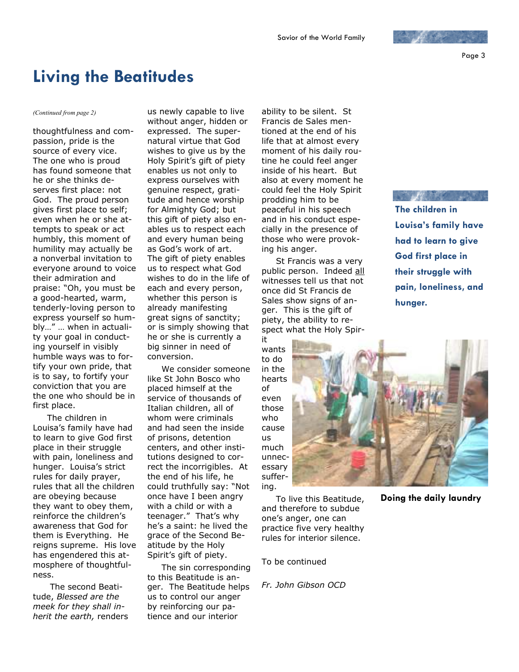Page 3

## **Living the Beatitudes**

thoughtfulness and compassion, pride is the source of every vice. The one who is proud has found someone that he or she thinks deserves first place: not God. The proud person gives first place to self; even when he or she attempts to speak or act humbly, this moment of humility may actually be a nonverbal invitation to everyone around to voice their admiration and praise: "Oh, you must be a good-hearted, warm, tenderly-loving person to express yourself so humbly…" … when in actuality your goal in conducting yourself in visibly humble ways was to fortify your own pride, that is to say, to fortify your conviction that you are the one who should be in first place.

 The children in Louisa's family have had to learn to give God first place in their struggle with pain, loneliness and hunger. Louisa's strict rules for daily prayer, rules that all the children are obeying because they want to obey them, reinforce the children's awareness that God for them is Everything. He reigns supreme. His love has engendered this atmosphere of thoughtfulness.

 The second Beatitude, *Blessed are the meek for they shall inherit the earth,* renders

*(Continued from page 2)* us newly capable to live without anger, hidden or expressed. The supernatural virtue that God wishes to give us by the Holy Spirit's gift of piety enables us not only to express ourselves with genuine respect, gratitude and hence worship for Almighty God; but this gift of piety also enables us to respect each and every human being as God's work of art. The gift of piety enables us to respect what God wishes to do in the life of each and every person, whether this person is already manifesting great signs of sanctity; or is simply showing that he or she is currently a big sinner in need of conversion.

> We consider someone like St John Bosco who placed himself at the service of thousands of Italian children, all of whom were criminals and had seen the inside of prisons, detention centers, and other institutions designed to correct the incorrigibles. At the end of his life, he could truthfully say: "Not once have I been angry with a child or with a teenager." That's why he's a saint: he lived the grace of the Second Beatitude by the Holy Spirit's gift of piety.

> The sin corresponding to this Beatitude is anger. The Beatitude helps us to control our anger by reinforcing our patience and our interior

ability to be silent. St Francis de Sales mentioned at the end of his life that at almost every moment of his daily routine he could feel anger inside of his heart. But also at every moment he could feel the Holy Spirit prodding him to be peaceful in his speech and in his conduct especially in the presence of those who were provoking his anger.

 St Francis was a very public person. Indeed all witnesses tell us that not once did St Francis de Sales show signs of anger. This is the gift of piety, the ability to respect what the Holy Spir-

it wants to do in the hearts of even those who cause us much unnecessary suffering.

 To live this Beatitude, and therefore to subdue one's anger, one can practice five very healthy rules for interior silence.

To be continued

*Fr. John Gibson OCD* 



**Doing the daily laundry**